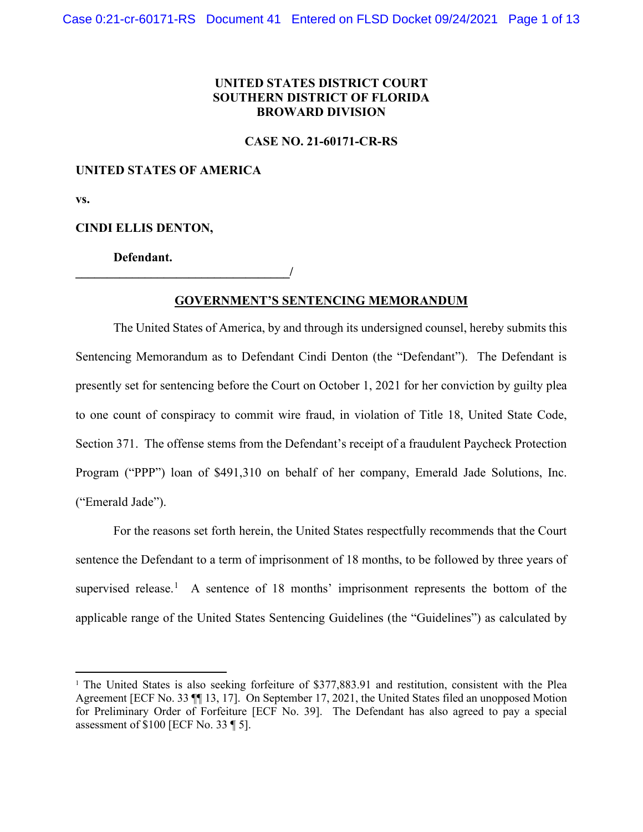# **UNITED STATES DISTRICT COURT SOUTHERN DISTRICT OF FLORIDA BROWARD DIVISION**

**CASE NO. 21-60171-CR-RS**

## **UNITED STATES OF AMERICA**

**vs.** 

## **CINDI ELLIS DENTON,**

**Defendant.**

**\_\_\_\_\_\_\_\_\_\_\_\_\_\_\_\_\_\_\_\_\_\_\_\_\_\_\_\_\_\_\_\_\_\_/**

# **GOVERNMENT'S SENTENCING MEMORANDUM**

The United States of America, by and through its undersigned counsel, hereby submits this Sentencing Memorandum as to Defendant Cindi Denton (the "Defendant"). The Defendant is presently set for sentencing before the Court on October 1, 2021 for her conviction by guilty plea to one count of conspiracy to commit wire fraud, in violation of Title 18, United State Code, Section 371. The offense stems from the Defendant's receipt of a fraudulent Paycheck Protection Program ("PPP") loan of \$491,310 on behalf of her company, Emerald Jade Solutions, Inc. ("Emerald Jade").

For the reasons set forth herein, the United States respectfully recommends that the Court sentence the Defendant to a term of imprisonment of 18 months, to be followed by three years of supervised release.<sup>[1](#page-0-0)</sup> A sentence of 18 months' imprisonment represents the bottom of the applicable range of the United States Sentencing Guidelines (the "Guidelines") as calculated by

<span id="page-0-0"></span><sup>&</sup>lt;sup>1</sup> The United States is also seeking forfeiture of \$377,883.91 and restitution, consistent with the Plea Agreement [ECF No. 33 ¶¶ 13, 17]. On September 17, 2021, the United States filed an unopposed Motion for Preliminary Order of Forfeiture [ECF No. 39]. The Defendant has also agreed to pay a special assessment of \$100 [ECF No. 33 ¶ 5].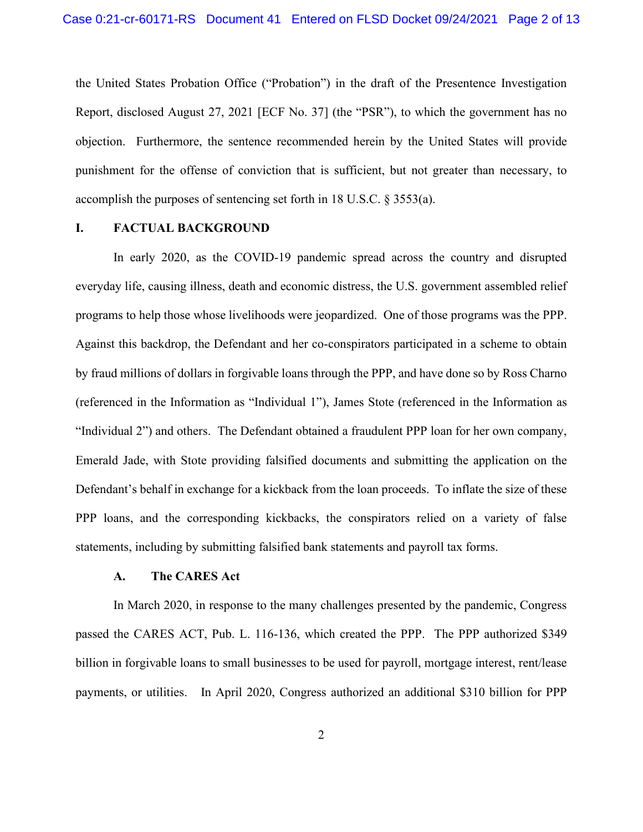the United States Probation Office ("Probation") in the draft of the Presentence Investigation Report, disclosed August 27, 2021 [ECF No. 37] (the "PSR"), to which the government has no objection. Furthermore, the sentence recommended herein by the United States will provide punishment for the offense of conviction that is sufficient, but not greater than necessary, to accomplish the purposes of sentencing set forth in 18 U.S.C. § 3553(a).

## **I. FACTUAL BACKGROUND**

In early 2020, as the COVID-19 pandemic spread across the country and disrupted everyday life, causing illness, death and economic distress, the U.S. government assembled relief programs to help those whose livelihoods were jeopardized. One of those programs was the PPP. Against this backdrop, the Defendant and her co-conspirators participated in a scheme to obtain by fraud millions of dollars in forgivable loans through the PPP, and have done so by Ross Charno (referenced in the Information as "Individual 1"), James Stote (referenced in the Information as "Individual 2") and others. The Defendant obtained a fraudulent PPP loan for her own company, Emerald Jade, with Stote providing falsified documents and submitting the application on the Defendant's behalf in exchange for a kickback from the loan proceeds. To inflate the size of these PPP loans, and the corresponding kickbacks, the conspirators relied on a variety of false statements, including by submitting falsified bank statements and payroll tax forms.

#### **A. The CARES Act**

In March 2020, in response to the many challenges presented by the pandemic, Congress passed the CARES ACT, Pub. L. 116-136, which created the PPP. The PPP authorized \$349 billion in forgivable loans to small businesses to be used for payroll, mortgage interest, rent/lease payments, or utilities. In April 2020, Congress authorized an additional \$310 billion for PPP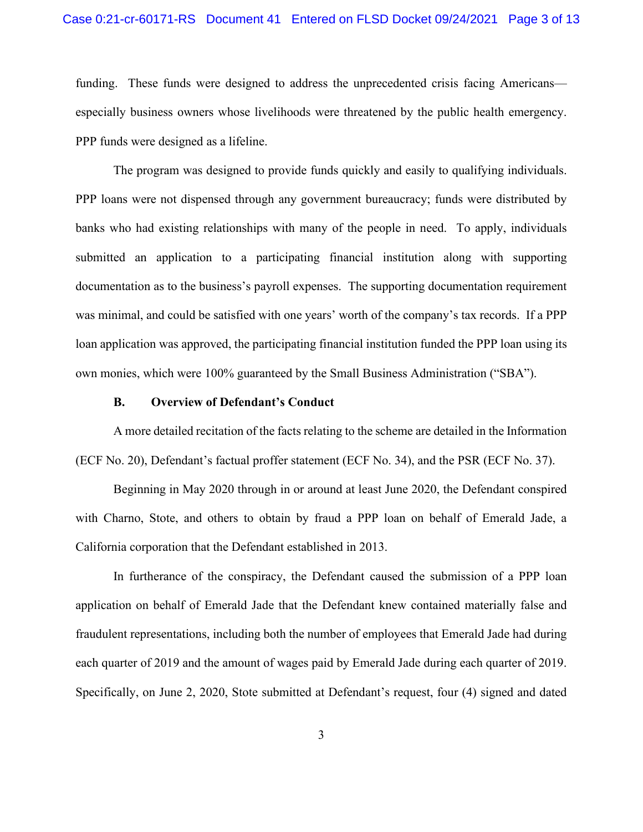#### Case 0:21-cr-60171-RS Document 41 Entered on FLSD Docket 09/24/2021 Page 3 of 13

funding. These funds were designed to address the unprecedented crisis facing Americans especially business owners whose livelihoods were threatened by the public health emergency. PPP funds were designed as a lifeline.

The program was designed to provide funds quickly and easily to qualifying individuals. PPP loans were not dispensed through any government bureaucracy; funds were distributed by banks who had existing relationships with many of the people in need. To apply, individuals submitted an application to a participating financial institution along with supporting documentation as to the business's payroll expenses. The supporting documentation requirement was minimal, and could be satisfied with one years' worth of the company's tax records. If a PPP loan application was approved, the participating financial institution funded the PPP loan using its own monies, which were 100% guaranteed by the Small Business Administration ("SBA").

#### **B. Overview of Defendant's Conduct**

A more detailed recitation of the facts relating to the scheme are detailed in the Information (ECF No. 20), Defendant's factual proffer statement (ECF No. 34), and the PSR (ECF No. 37).

Beginning in May 2020 through in or around at least June 2020, the Defendant conspired with Charno, Stote, and others to obtain by fraud a PPP loan on behalf of Emerald Jade, a California corporation that the Defendant established in 2013.

In furtherance of the conspiracy, the Defendant caused the submission of a PPP loan application on behalf of Emerald Jade that the Defendant knew contained materially false and fraudulent representations, including both the number of employees that Emerald Jade had during each quarter of 2019 and the amount of wages paid by Emerald Jade during each quarter of 2019. Specifically, on June 2, 2020, Stote submitted at Defendant's request, four (4) signed and dated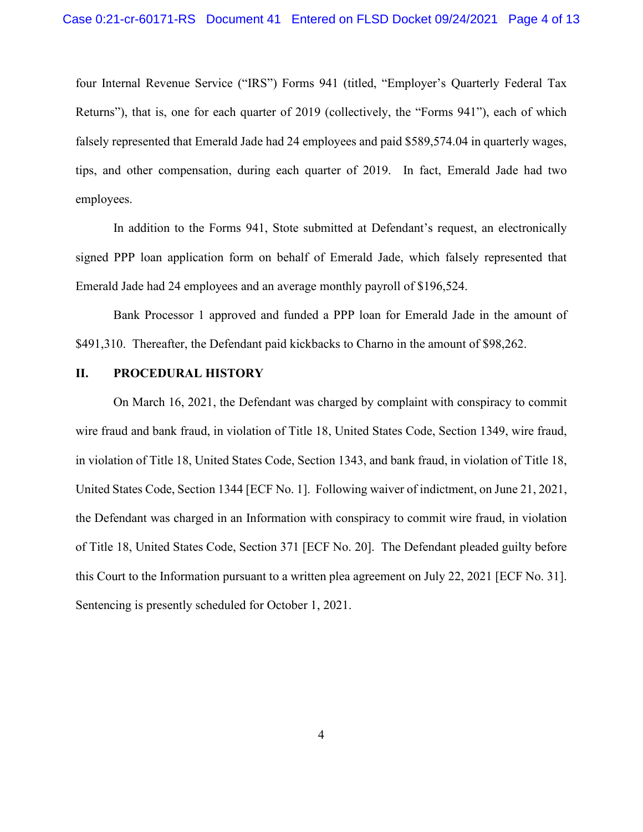four Internal Revenue Service ("IRS") Forms 941 (titled, "Employer's Quarterly Federal Tax Returns"), that is, one for each quarter of 2019 (collectively, the "Forms 941"), each of which falsely represented that Emerald Jade had 24 employees and paid \$589,574.04 in quarterly wages, tips, and other compensation, during each quarter of 2019. In fact, Emerald Jade had two employees.

In addition to the Forms 941, Stote submitted at Defendant's request, an electronically signed PPP loan application form on behalf of Emerald Jade, which falsely represented that Emerald Jade had 24 employees and an average monthly payroll of \$196,524.

Bank Processor 1 approved and funded a PPP loan for Emerald Jade in the amount of \$491,310. Thereafter, the Defendant paid kickbacks to Charno in the amount of \$98,262.

### **II. PROCEDURAL HISTORY**

On March 16, 2021, the Defendant was charged by complaint with conspiracy to commit wire fraud and bank fraud, in violation of Title 18, United States Code, Section 1349, wire fraud, in violation of Title 18, United States Code, Section 1343, and bank fraud, in violation of Title 18, United States Code, Section 1344 [ECF No. 1]. Following waiver of indictment, on June 21, 2021, the Defendant was charged in an Information with conspiracy to commit wire fraud, in violation of Title 18, United States Code, Section 371 [ECF No. 20]. The Defendant pleaded guilty before this Court to the Information pursuant to a written plea agreement on July 22, 2021 [ECF No. 31]. Sentencing is presently scheduled for October 1, 2021.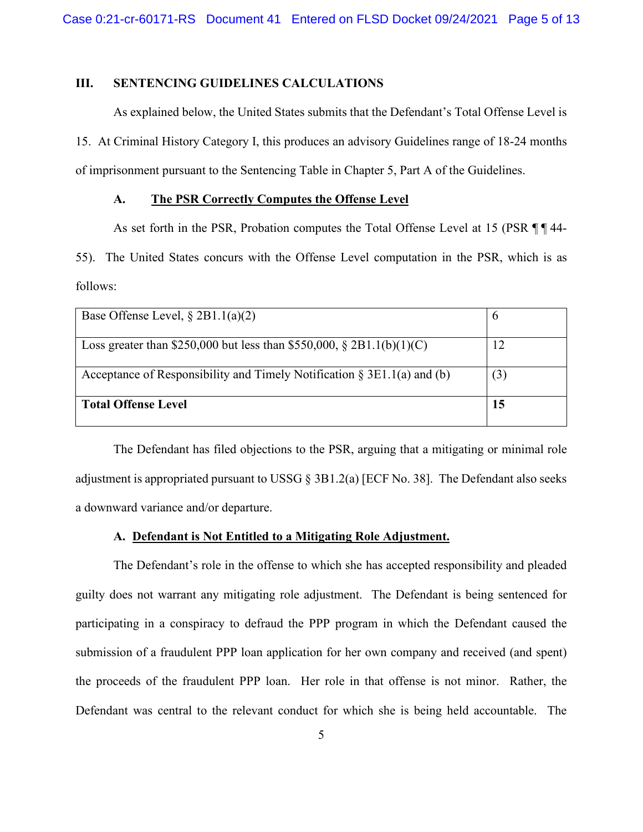# **III. SENTENCING GUIDELINES CALCULATIONS**

As explained below, the United States submits that the Defendant's Total Offense Level is 15. At Criminal History Category I, this produces an advisory Guidelines range of 18-24 months of imprisonment pursuant to the Sentencing Table in Chapter 5, Part A of the Guidelines.

## **A. The PSR Correctly Computes the Offense Level**

As set forth in the PSR, Probation computes the Total Offense Level at 15 (PSR ¶ ¶ 44-

55). The United States concurs with the Offense Level computation in the PSR, which is as follows:

| Base Offense Level, $\S 2B1.1(a)(2)$                                       |     |
|----------------------------------------------------------------------------|-----|
| Loss greater than \$250,000 but less than \$550,000, $\S 2B1.1(b)(1)(C)$   | 12  |
| Acceptance of Responsibility and Timely Notification $\S 3E1.1(a)$ and (b) | (3) |
| <b>Total Offense Level</b>                                                 | 15  |

The Defendant has filed objections to the PSR, arguing that a mitigating or minimal role adjustment is appropriated pursuant to USSG  $\S$  3B1.2(a) [ECF No. 38]. The Defendant also seeks a downward variance and/or departure.

## **A. Defendant is Not Entitled to a Mitigating Role Adjustment.**

The Defendant's role in the offense to which she has accepted responsibility and pleaded guilty does not warrant any mitigating role adjustment. The Defendant is being sentenced for participating in a conspiracy to defraud the PPP program in which the Defendant caused the submission of a fraudulent PPP loan application for her own company and received (and spent) the proceeds of the fraudulent PPP loan. Her role in that offense is not minor. Rather, the Defendant was central to the relevant conduct for which she is being held accountable. The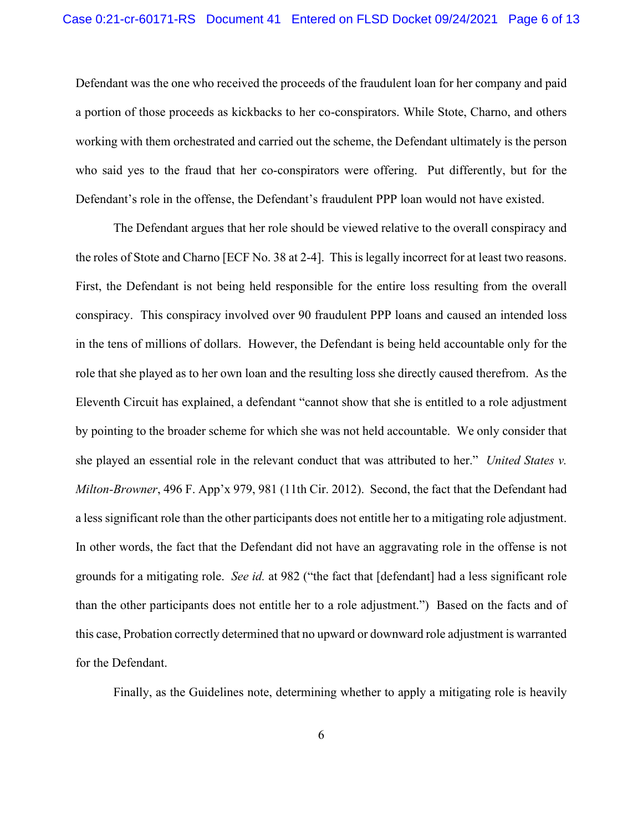Defendant was the one who received the proceeds of the fraudulent loan for her company and paid a portion of those proceeds as kickbacks to her co-conspirators. While Stote, Charno, and others working with them orchestrated and carried out the scheme, the Defendant ultimately is the person who said yes to the fraud that her co-conspirators were offering. Put differently, but for the Defendant's role in the offense, the Defendant's fraudulent PPP loan would not have existed.

The Defendant argues that her role should be viewed relative to the overall conspiracy and the roles of Stote and Charno [ECF No. 38 at 2-4]. This is legally incorrect for at least two reasons. First, the Defendant is not being held responsible for the entire loss resulting from the overall conspiracy. This conspiracy involved over 90 fraudulent PPP loans and caused an intended loss in the tens of millions of dollars. However, the Defendant is being held accountable only for the role that she played as to her own loan and the resulting loss she directly caused therefrom. As the Eleventh Circuit has explained, a defendant "cannot show that she is entitled to a role adjustment by pointing to the broader scheme for which she was not held accountable. We only consider that she played an essential role in the relevant conduct that was attributed to her." *United States v. Milton-Browner*, 496 F. App'x 979, 981 (11th Cir. 2012). Second, the fact that the Defendant had a less significant role than the other participants does not entitle her to a mitigating role adjustment. In other words, the fact that the Defendant did not have an aggravating role in the offense is not grounds for a mitigating role. *See id.* at 982 ("the fact that [defendant] had a less significant role than the other participants does not entitle her to a role adjustment.") Based on the facts and of this case, Probation correctly determined that no upward or downward role adjustment is warranted for the Defendant.

Finally, as the Guidelines note, determining whether to apply a mitigating role is heavily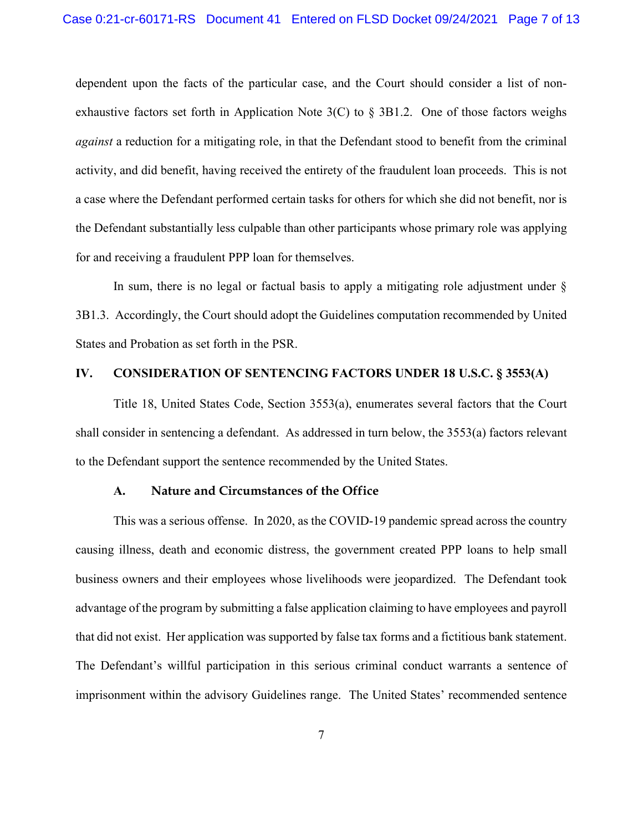dependent upon the facts of the particular case, and the Court should consider a list of nonexhaustive factors set forth in Application Note  $3(C)$  to § 3B1.2. One of those factors weighs *against* a reduction for a mitigating role, in that the Defendant stood to benefit from the criminal activity, and did benefit, having received the entirety of the fraudulent loan proceeds. This is not a case where the Defendant performed certain tasks for others for which she did not benefit, nor is the Defendant substantially less culpable than other participants whose primary role was applying for and receiving a fraudulent PPP loan for themselves.

In sum, there is no legal or factual basis to apply a mitigating role adjustment under § 3B1.3. Accordingly, the Court should adopt the Guidelines computation recommended by United States and Probation as set forth in the PSR.

### **IV. CONSIDERATION OF SENTENCING FACTORS UNDER 18 U.S.C. § 3553(A)**

Title 18, United States Code, Section 3553(a), enumerates several factors that the Court shall consider in sentencing a defendant. As addressed in turn below, the 3553(a) factors relevant to the Defendant support the sentence recommended by the United States.

## **A. Nature and Circumstances of the Office**

This was a serious offense. In 2020, as the COVID-19 pandemic spread across the country causing illness, death and economic distress, the government created PPP loans to help small business owners and their employees whose livelihoods were jeopardized. The Defendant took advantage of the program by submitting a false application claiming to have employees and payroll that did not exist. Her application was supported by false tax forms and a fictitious bank statement. The Defendant's willful participation in this serious criminal conduct warrants a sentence of imprisonment within the advisory Guidelines range. The United States' recommended sentence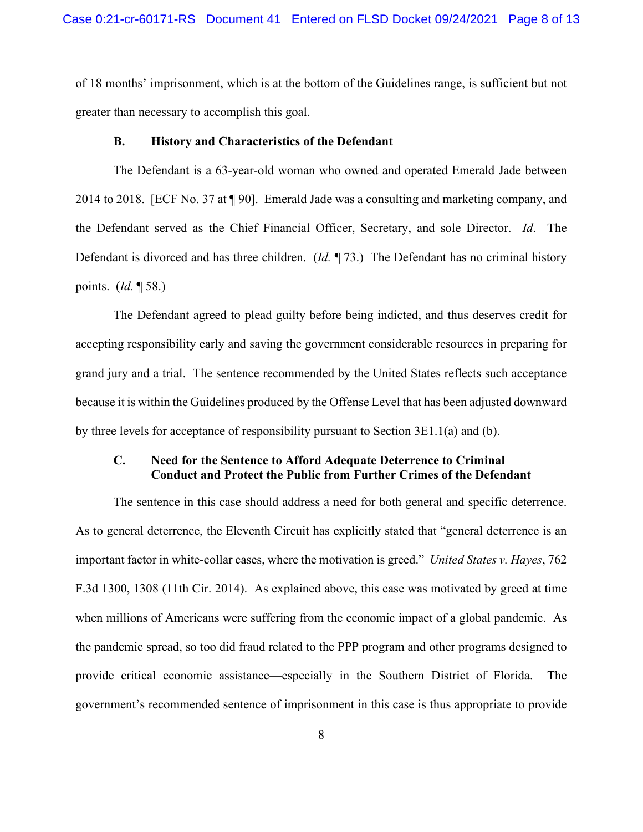of 18 months' imprisonment, which is at the bottom of the Guidelines range, is sufficient but not greater than necessary to accomplish this goal.

#### **B. History and Characteristics of the Defendant**

The Defendant is a 63-year-old woman who owned and operated Emerald Jade between 2014 to 2018. [ECF No. 37 at ¶ 90]. Emerald Jade was a consulting and marketing company, and the Defendant served as the Chief Financial Officer, Secretary, and sole Director. *Id*. The Defendant is divorced and has three children. (*Id.* ¶ 73.) The Defendant has no criminal history points. (*Id.* ¶ 58.)

The Defendant agreed to plead guilty before being indicted, and thus deserves credit for accepting responsibility early and saving the government considerable resources in preparing for grand jury and a trial. The sentence recommended by the United States reflects such acceptance because it is within the Guidelines produced by the Offense Level that has been adjusted downward by three levels for acceptance of responsibility pursuant to Section 3E1.1(a) and (b).

# **C. Need for the Sentence to Afford Adequate Deterrence to Criminal Conduct and Protect the Public from Further Crimes of the Defendant**

The sentence in this case should address a need for both general and specific deterrence. As to general deterrence, the Eleventh Circuit has explicitly stated that "general deterrence is an important factor in white-collar cases, where the motivation is greed." *United States v. Hayes*, 762 F.3d 1300, 1308 (11th Cir. 2014). As explained above, this case was motivated by greed at time when millions of Americans were suffering from the economic impact of a global pandemic. As the pandemic spread, so too did fraud related to the PPP program and other programs designed to provide critical economic assistance—especially in the Southern District of Florida. The government's recommended sentence of imprisonment in this case is thus appropriate to provide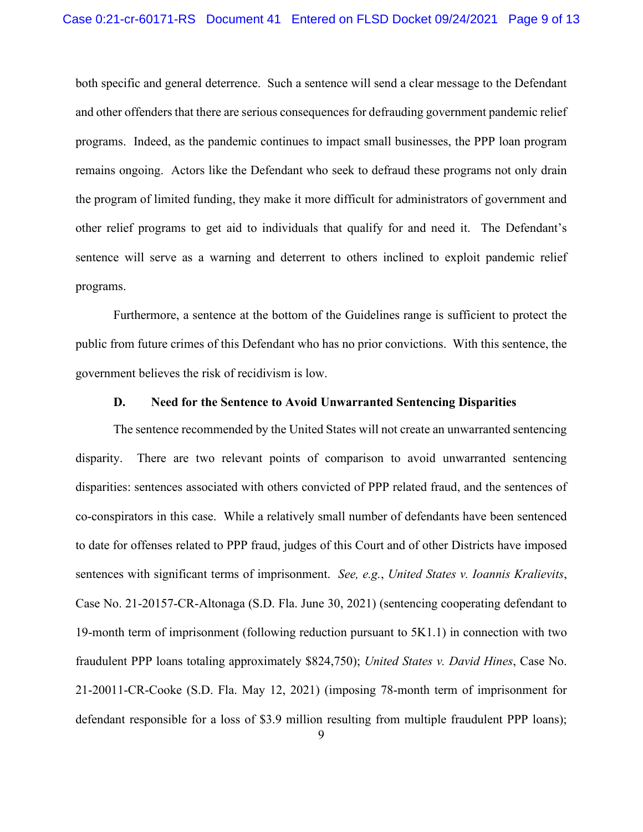both specific and general deterrence. Such a sentence will send a clear message to the Defendant and other offenders that there are serious consequences for defrauding government pandemic relief programs. Indeed, as the pandemic continues to impact small businesses, the PPP loan program remains ongoing. Actors like the Defendant who seek to defraud these programs not only drain the program of limited funding, they make it more difficult for administrators of government and other relief programs to get aid to individuals that qualify for and need it. The Defendant's sentence will serve as a warning and deterrent to others inclined to exploit pandemic relief programs.

Furthermore, a sentence at the bottom of the Guidelines range is sufficient to protect the public from future crimes of this Defendant who has no prior convictions. With this sentence, the government believes the risk of recidivism is low.

#### **D. Need for the Sentence to Avoid Unwarranted Sentencing Disparities**

The sentence recommended by the United States will not create an unwarranted sentencing disparity. There are two relevant points of comparison to avoid unwarranted sentencing disparities: sentences associated with others convicted of PPP related fraud, and the sentences of co-conspirators in this case. While a relatively small number of defendants have been sentenced to date for offenses related to PPP fraud, judges of this Court and of other Districts have imposed sentences with significant terms of imprisonment. *See, e.g.*, *United States v. Ioannis Kralievits*, Case No. 21-20157-CR-Altonaga (S.D. Fla. June 30, 2021) (sentencing cooperating defendant to 19-month term of imprisonment (following reduction pursuant to 5K1.1) in connection with two fraudulent PPP loans totaling approximately \$824,750); *United States v. David Hines*, Case No. 21-20011-CR-Cooke (S.D. Fla. May 12, 2021) (imposing 78-month term of imprisonment for defendant responsible for a loss of \$3.9 million resulting from multiple fraudulent PPP loans);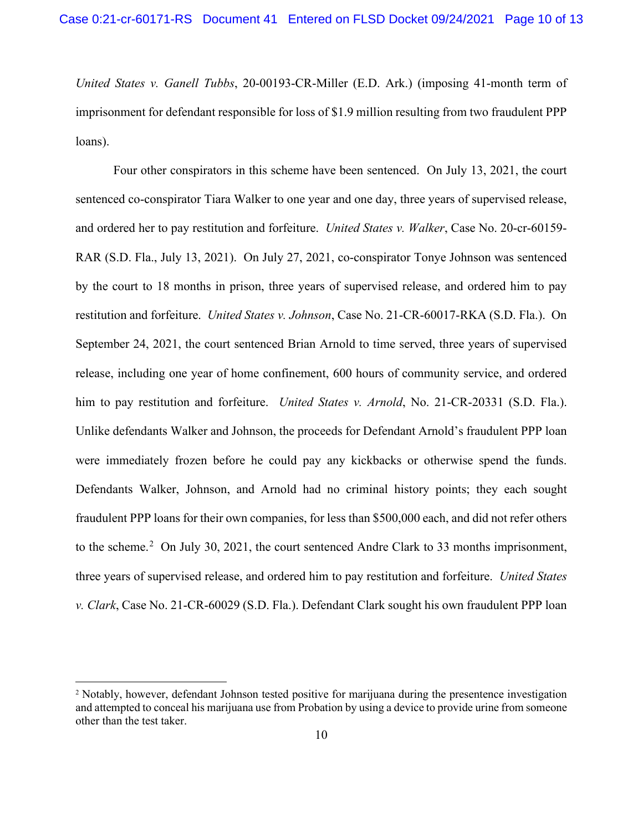*United States v. Ganell Tubbs*, 20-00193-CR-Miller (E.D. Ark.) (imposing 41-month term of imprisonment for defendant responsible for loss of \$1.9 million resulting from two fraudulent PPP loans).

Four other conspirators in this scheme have been sentenced. On July 13, 2021, the court sentenced co-conspirator Tiara Walker to one year and one day, three years of supervised release, and ordered her to pay restitution and forfeiture. *United States v. Walker*, Case No. 20-cr-60159- RAR (S.D. Fla., July 13, 2021). On July 27, 2021, co-conspirator Tonye Johnson was sentenced by the court to 18 months in prison, three years of supervised release, and ordered him to pay restitution and forfeiture. *United States v. Johnson*, Case No. 21-CR-60017-RKA (S.D. Fla.). On September 24, 2021, the court sentenced Brian Arnold to time served, three years of supervised release, including one year of home confinement, 600 hours of community service, and ordered him to pay restitution and forfeiture. *United States v. Arnold*, No. 21-CR-20331 (S.D. Fla.). Unlike defendants Walker and Johnson, the proceeds for Defendant Arnold's fraudulent PPP loan were immediately frozen before he could pay any kickbacks or otherwise spend the funds. Defendants Walker, Johnson, and Arnold had no criminal history points; they each sought fraudulent PPP loans for their own companies, for less than \$500,000 each, and did not refer others to the scheme.<sup>[2](#page-9-0)</sup> On July 30, 2021, the court sentenced Andre Clark to 33 months imprisonment, three years of supervised release, and ordered him to pay restitution and forfeiture. *United States v. Clark*, Case No. 21-CR-60029 (S.D. Fla.). Defendant Clark sought his own fraudulent PPP loan

<span id="page-9-0"></span><sup>&</sup>lt;sup>2</sup> Notably, however, defendant Johnson tested positive for marijuana during the presentence investigation and attempted to conceal his marijuana use from Probation by using a device to provide urine from someone other than the test taker.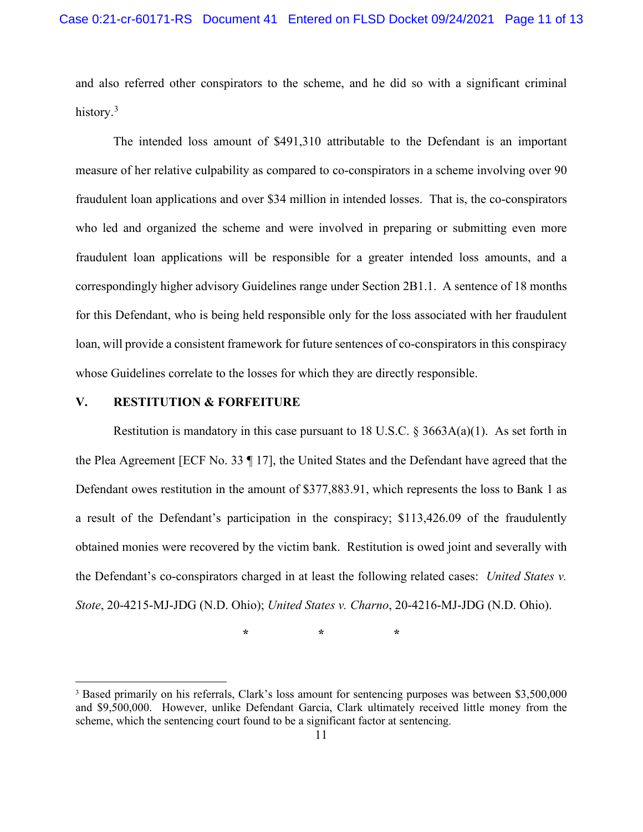and also referred other conspirators to the scheme, and he did so with a significant criminal history.<sup>[3](#page-10-0)</sup>

The intended loss amount of \$491,310 attributable to the Defendant is an important measure of her relative culpability as compared to co-conspirators in a scheme involving over 90 fraudulent loan applications and over \$34 million in intended losses. That is, the co-conspirators who led and organized the scheme and were involved in preparing or submitting even more fraudulent loan applications will be responsible for a greater intended loss amounts, and a correspondingly higher advisory Guidelines range under Section 2B1.1. A sentence of 18 months for this Defendant, who is being held responsible only for the loss associated with her fraudulent loan, will provide a consistent framework for future sentences of co-conspirators in this conspiracy whose Guidelines correlate to the losses for which they are directly responsible.

#### **V. RESTITUTION & FORFEITURE**

Restitution is mandatory in this case pursuant to 18 U.S.C.  $\S 3663A(a)(1)$ . As set forth in the Plea Agreement [ECF No. 33 ¶ 17], the United States and the Defendant have agreed that the Defendant owes restitution in the amount of \$377,883.91, which represents the loss to Bank 1 as a result of the Defendant's participation in the conspiracy; \$113,426.09 of the fraudulently obtained monies were recovered by the victim bank. Restitution is owed joint and severally with the Defendant's co-conspirators charged in at least the following related cases: *United States v. Stote*, 20-4215-MJ-JDG (N.D. Ohio); *United States v. Charno*, 20-4216-MJ-JDG (N.D. Ohio).

**\* \* \***

<span id="page-10-0"></span><sup>3</sup> Based primarily on his referrals, Clark's loss amount for sentencing purposes was between \$3,500,000 and \$9,500,000. However, unlike Defendant Garcia, Clark ultimately received little money from the scheme, which the sentencing court found to be a significant factor at sentencing.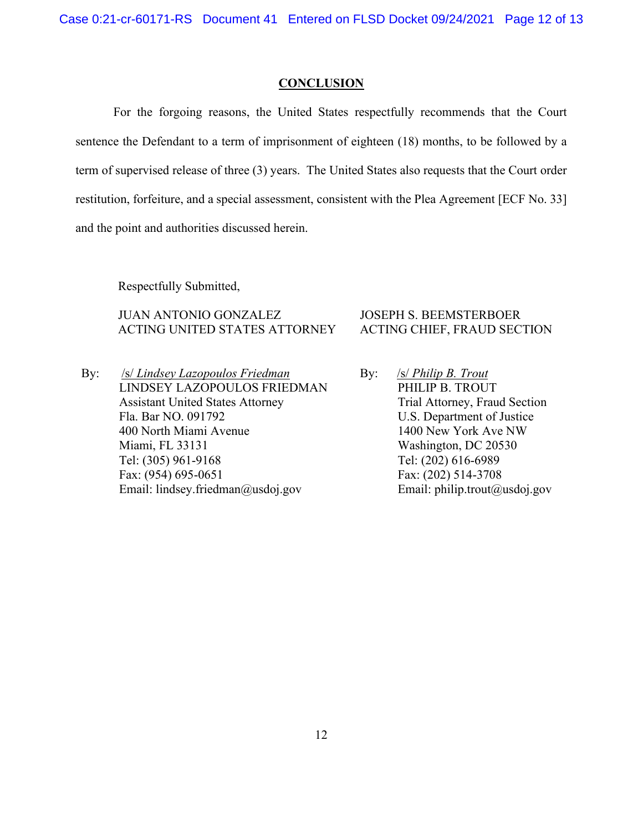## **CONCLUSION**

For the forgoing reasons, the United States respectfully recommends that the Court sentence the Defendant to a term of imprisonment of eighteen (18) months, to be followed by a term of supervised release of three (3) years. The United States also requests that the Court order restitution, forfeiture, and a special assessment, consistent with the Plea Agreement [ECF No. 33] and the point and authorities discussed herein.

Respectfully Submitted,

JUAN ANTONIO GONZALEZ ACTING UNITED STATES ATTORNEY

By: /s/ *Lindsey Lazopoulos Friedman* LINDSEY LAZOPOULOS FRIEDMAN Assistant United States Attorney Fla. Bar NO. 091792 400 North Miami Avenue Miami, FL 33131 Tel: (305) 961-9168 Fax: (954) 695-0651 Email: lindsey.friedman@usdoj.gov

# JOSEPH S. BEEMSTERBOER ACTING CHIEF, FRAUD SECTION

By: /s/ *Philip B. Trout* PHILIP B. TROUT Trial Attorney, Fraud Section U.S. Department of Justice 1400 New York Ave NW Washington, DC 20530 Tel: (202) 616-6989 Fax: (202) 514-3708 Email: philip.trout@usdoj.gov